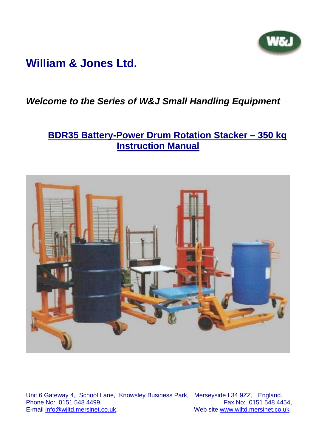# **William & Jones Ltd.**

## *Welcome to the Series of W&J Small Handling Equipment*

## **BDR35 Battery-Power Drum Rotation Stacker – 350 kg Instruction Manual**



Unit 6 Gateway 4, School Lane, Knowsley Business Park, Merseyside L34 9ZZ, England. Phone No: 0151 548 4499,<br>
E-mail info@wiltd.mersinet.co.uk, Web site www.wiltd.mersinet.co.uk

Web site www.wjltd.mersinet.co.uk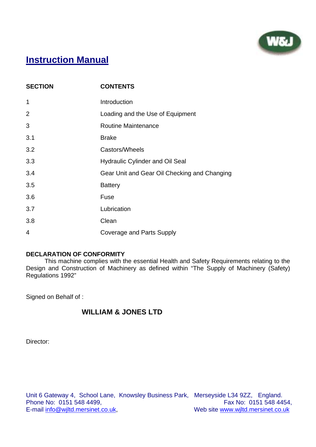

## **Instruction Manual**

| <b>SECTION</b> | <b>CONTENTS</b>                              |
|----------------|----------------------------------------------|
| $\mathbf 1$    | Introduction                                 |
| 2              | Loading and the Use of Equipment             |
| 3              | <b>Routine Maintenance</b>                   |
| 3.1            | <b>Brake</b>                                 |
| 3.2            | Castors/Wheels                               |
| 3.3            | <b>Hydraulic Cylinder and Oil Seal</b>       |
| 3.4            | Gear Unit and Gear Oil Checking and Changing |
| 3.5            | <b>Battery</b>                               |
| 3.6            | Fuse                                         |
| 3.7            | Lubrication                                  |
| 3.8            | Clean                                        |
| $\overline{4}$ | Coverage and Parts Supply                    |

#### **DECLARATION OF CONFORMITY**

 This machine complies with the essential Health and Safety Requirements relating to the Design and Construction of Machinery as defined within "The Supply of Machinery (Safety) Regulations 1992"

Signed on Behalf of :

#### **WILLIAM & JONES LTD**

Director: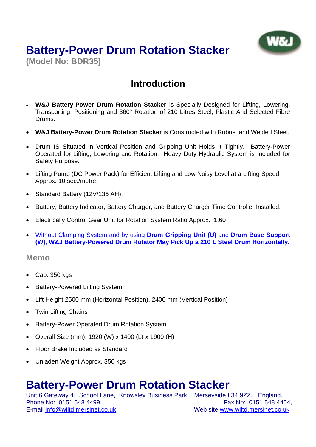# **Battery-Power Drum Rotation Stacker**

**(Model No: BDR35)**

# **Introduction**

- **W&J Battery-Power Drum Rotation Stacker** is Specially Designed for Lifting, Lowering, Transporting, Positioning and 360° Rotation of 210 Litres Steel, Plastic And Selected Fibre Drums.
- **W&J Battery-Power Drum Rotation Stacker** is Constructed with Robust and Welded Steel.
- Drum IS Situated in Vertical Position and Gripping Unit Holds It Tightly. Battery-Power Operated for Lifting, Lowering and Rotation. Heavy Duty Hydraulic System is Included for Safety Purpose.
- Lifting Pump (DC Power Pack) for Efficient Lifting and Low Noisy Level at a Lifting Speed Approx. 10 sec./metre.
- Standard Battery (12V/135 AH).
- Battery, Battery Indicator, Battery Charger, and Battery Charger Time Controller Installed.
- Electrically Control Gear Unit for Rotation System Ratio Approx. 1:60
- Without Clamping System and by using **Drum Gripping Unit (U)** and **Drum Base Support (W)**, **W&J Battery-Powered Drum Rotator May Pick Up a 210 L Steel Drum Horizontally.**

#### **Memo**

- Cap. 350 kgs
- **Battery-Powered Lifting System**
- Lift Height 2500 mm (Horizontal Position), 2400 mm (Vertical Position)
- Twin Lifting Chains
- Battery-Power Operated Drum Rotation System
- Overall Size (mm): 1920 (W) x 1400 (L) x 1900 (H)
- Floor Brake Included as Standard
- Unladen Weight Approx. 350 kgs

# **Battery-Power Drum Rotation Stacker**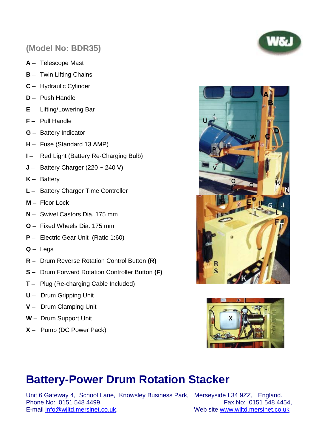## **(Model No: BDR35)**

- **A** Telescope Mast
- **B** Twin Lifting Chains
- **C** Hydraulic Cylinder
- **D** Push Handle
- **E** Lifting/Lowering Bar
- **F** Pull Handle
- **G** Battery Indicator
- **H** Fuse (Standard 13 AMP)
- **I** Red Light (Battery Re-Charging Bulb)
- **J** Battery Charger (220 ~ 240 V)
- **K** Battery
- **L** Battery Charger Time Controller
- **M** Floor Lock
- **N** Swivel Castors Dia. 175 mm
- **O** Fixed Wheels Dia. 175 mm
- **P** Electric Gear Unit (Ratio 1:60)
- **Q** Legs
- **R** Drum Reverse Rotation Control Button **(R)**
- **S** Drum Forward Rotation Controller Button **(F)**
- **T** Plug (Re-charging Cable Included)
- **U** Drum Gripping Unit
- **V** Drum Clamping Unit
- **W** Drum Support Unit
- **X** Pump (DC Power Pack)





# **Battery-Power Drum Rotation Stacker**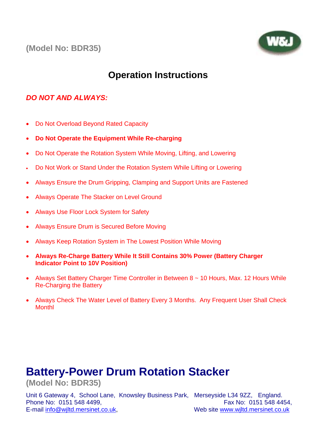**(Model No: BDR35)**



## **Operation Instructions**

#### *DO NOT AND ALWAYS:*

- Do Not Overload Beyond Rated Capacity
- **Do Not Operate the Equipment While Re-charging**
- Do Not Operate the Rotation System While Moving, Lifting, and Lowering
- Do Not Work or Stand Under the Rotation System While Lifting or Lowering
- Always Ensure the Drum Gripping, Clamping and Support Units are Fastened
- Always Operate The Stacker on Level Ground
- Always Use Floor Lock System for Safety
- Always Ensure Drum is Secured Before Moving
- Always Keep Rotation System in The Lowest Position While Moving
- **Always Re-Charge Battery While It Still Contains 30% Power (Battery Charger Indicator Point to 10V Position)**
- Always Set Battery Charger Time Controller in Between 8 ~ 10 Hours, Max. 12 Hours While Re-Charging the Battery
- Always Check The Water Level of Battery Every 3 Months. Any Frequent User Shall Check Monthl

# **Battery-Power Drum Rotation Stacker**

**(Model No: BDR35)**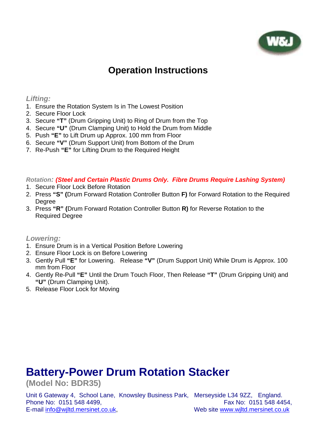

## **Operation Instructions**

#### *Lifting:*

- 1. Ensure the Rotation System Is in The Lowest Position
- 2. Secure Floor Lock
- 3. Secure **"T"** (Drum Gripping Unit) to Ring of Drum from the Top
- 4. Secure **"U"** (Drum Clamping Unit) to Hold the Drum from Middle
- 5. Push **"E"** to Lift Drum up Approx. 100 mm from Floor
- 6. Secure **"V"** (Drum Support Unit) from Bottom of the Drum
- 7. Re-Push **"E"** for Lifting Drum to the Required Height

#### *Rotation: (Steel and Certain Plastic Drums Only. Fibre Drums Require Lashing System)*

- 1. Secure Floor Lock Before Rotation
- 2. Press **"S" (**Drum Forward Rotation Controller Button **F)** for Forward Rotation to the Required **Degree**
- 3. Press **"R" (**Drum Forward Rotation Controller Button **R)** for Reverse Rotation to the Required Degree

*Lowering:* 

- 1. Ensure Drum is in a Vertical Position Before Lowering
- 2. Ensure Floor Lock is on Before Lowering
- 3. Gently Pull **"E"** for Lowering. Release **"V"** (Drum Support Unit) While Drum is Approx. 100 mm from Floor
- 4. Gently Re-Pull **"E"** Until the Drum Touch Floor, Then Release **"T"** (Drum Gripping Unit) and **"U"** (Drum Clamping Unit).
- 5. Release Floor Lock for Moving

# **Battery-Power Drum Rotation Stacker**

**(Model No: BDR35)**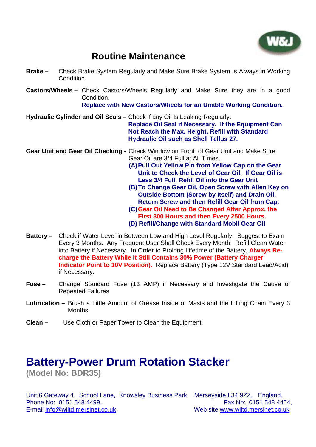

## **Routine Maintenance**

- **Brake –** Check Brake System Regularly and Make Sure Brake System Is Always in Working **Condition**
- **Castors/Wheels** Check Castors/Wheels Regularly and Make Sure they are in a good Condition.

**Replace with New Castors/Wheels for an Unable Working Condition.**

**Hydraulic Cylinder and Oil Seals –** Check if any Oil Is Leaking Regularly.

**Replace Oil Seal if Necessary. If the Equipment Can Not Reach the Max. Height, Refill with Standard Hydraulic Oil such as Shell Tellus 27.** 

**Gear Unit and Gear Oil Checking** - Check Window on Front of Gear Unit and Make Sure Gear Oil are 3/4 Full at All Times.

**(A) Pull Out Yellow Pin from Yellow Cap on the Gear Unit to Check the Level of Gear Oil. If Gear Oil is Less 3/4 Full, Refill Oil into the Gear Unit**

- **(B) To Change Gear Oil, Open Screw with Allen Key on Outside Bottom (Screw by Itself) and Drain Oil. Return Screw and then Refill Gear Oil from Cap.**
- **(C) Gear Oil Need to Be Changed After Approx. the First 300 Hours and then Every 2500 Hours. (D) Refill/Change with Standard Mobil Gear Oil**
- **Battery** Check if Water Level in Between Low and High Level Regularly.Suggest to Exam Every 3 Months. Any Frequent User Shall Check Every Month. Refill Clean Water into Battery if Necessary. In Order to Prolong Lifetime of the Battery, **Always Recharge the Battery While It Still Contains 30% Power (Battery Charger Indicator Point to 10V Position).** Replace Battery (Type 12V Standard Lead/Acid) if Necessary.
- **Fuse** Change Standard Fuse (13 AMP) if Necessary and Investigate the Cause of Repeated Failures
- **Lubrication** Brush a Little Amount of Grease Inside of Masts and the Lifting Chain Every 3 Months.
- **Clean** Use Cloth or Paper Tower to Clean the Equipment.

### **Battery-Power Drum Rotation Stacker (Model No: BDR35)**